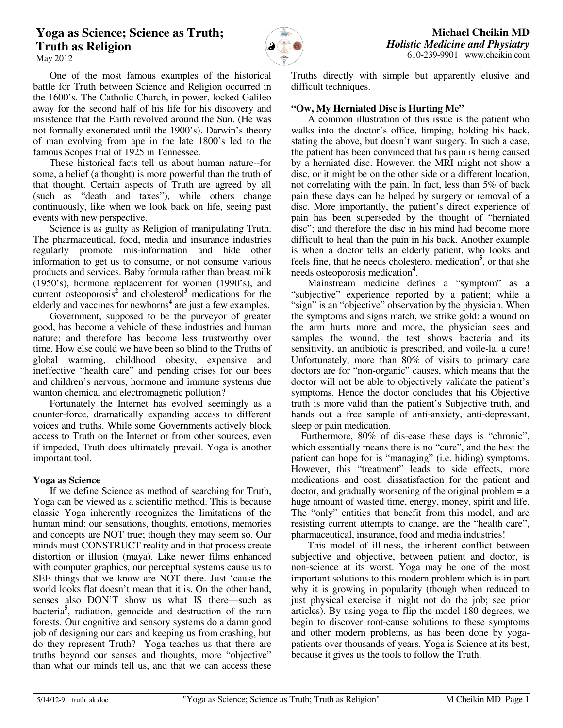# **Yoga as Science; Science as Truth; Truth as Religion**



May 2012

 One of the most famous examples of the historical battle for Truth between Science and Religion occurred in the 1600's. The Catholic Church, in power, locked Galileo away for the second half of his life for his discovery and insistence that the Earth revolved around the Sun. (He was not formally exonerated until the 1900's). Darwin's theory of man evolving from ape in the late 1800's led to the famous Scopes trial of 1925 in Tennessee.

 These historical facts tell us about human nature--for some, a belief (a thought) is more powerful than the truth of that thought. Certain aspects of Truth are agreed by all (such as "death and taxes"), while others change continuously, like when we look back on life, seeing past events with new perspective.

 Science is as guilty as Religion of manipulating Truth. The pharmaceutical, food, media and insurance industries regularly promote mis-information and hide other information to get us to consume, or not consume various products and services. Baby formula rather than breast milk (1950's), hormone replacement for women (1990's), and current osteoporosis**<sup>2</sup>** and cholesterol**<sup>3</sup>** medications for the elderly and vaccines for newborns<sup>4</sup> are just a few examples.

 Government, supposed to be the purveyor of greater good, has become a vehicle of these industries and human nature; and therefore has become less trustworthy over time. How else could we have been so blind to the Truths of global warming, childhood obesity, expensive and ineffective "health care" and pending crises for our bees and children's nervous, hormone and immune systems due wanton chemical and electromagnetic pollution?

 Fortunately the Internet has evolved seemingly as a counter-force, dramatically expanding access to different voices and truths. While some Governments actively block access to Truth on the Internet or from other sources, even if impeded, Truth does ultimately prevail. Yoga is another important tool.

### **Yoga as Science**

 If we define Science as method of searching for Truth, Yoga can be viewed as a scientific method. This is because classic Yoga inherently recognizes the limitations of the human mind: our sensations, thoughts, emotions, memories and concepts are NOT true; though they may seem so. Our minds must CONSTRUCT reality and in that process create distortion or illusion (maya). Like newer films enhanced with computer graphics, our perceptual systems cause us to SEE things that we know are NOT there. Just 'cause the world looks flat doesn't mean that it is. On the other hand, senses also DON'T show us what IS there—such as bacteria**<sup>5</sup>** , radiation, genocide and destruction of the rain forests. Our cognitive and sensory systems do a damn good job of designing our cars and keeping us from crashing, but do they represent Truth? Yoga teaches us that there are truths beyond our senses and thoughts, more "objective" than what our minds tell us, and that we can access these

Truths directly with simple but apparently elusive and difficult techniques.

# **"Ow, My Herniated Disc is Hurting Me"**

 A common illustration of this issue is the patient who walks into the doctor's office, limping, holding his back, stating the above, but doesn't want surgery. In such a case, the patient has been convinced that his pain is being caused by a herniated disc. However, the MRI might not show a disc, or it might be on the other side or a different location, not correlating with the pain. In fact, less than 5% of back pain these days can be helped by surgery or removal of a disc. More importantly, the patient's direct experience of pain has been superseded by the thought of "herniated disc"; and therefore the disc in his mind had become more difficult to heal than the pain in his back. Another example is when a doctor tells an elderly patient, who looks and feels fine, that he needs cholesterol medication**<sup>5</sup>** , or that she needs osteoporosis medication**<sup>4</sup>** .

 Mainstream medicine defines a "symptom" as a "subjective" experience reported by a patient; while a "sign" is an "objective" observation by the physician. When the symptoms and signs match, we strike gold: a wound on the arm hurts more and more, the physician sees and samples the wound, the test shows bacteria and its sensitivity, an antibiotic is prescribed, and voile-la, a cure! Unfortunately, more than 80% of visits to primary care doctors are for "non-organic" causes, which means that the doctor will not be able to objectively validate the patient's symptoms. Hence the doctor concludes that his Objective truth is more valid than the patient's Subjective truth, and hands out a free sample of anti-anxiety, anti-depressant, sleep or pain medication.

Furthermore, 80% of dis-ease these days is "chronic", which essentially means there is no "cure", and the best the patient can hope for is "managing" (i.e. hiding) symptoms. However, this "treatment" leads to side effects, more medications and cost, dissatisfaction for the patient and doctor, and gradually worsening of the original problem = a huge amount of wasted time, energy, money, spirit and life. The "only" entities that benefit from this model, and are resisting current attempts to change, are the "health care", pharmaceutical, insurance, food and media industries!

 This model of ill-ness, the inherent conflict between subjective and objective, between patient and doctor, is non-science at its worst. Yoga may be one of the most important solutions to this modern problem which is in part why it is growing in popularity (though when reduced to just physical exercise it might not do the job; see prior articles). By using yoga to flip the model 180 degrees, we begin to discover root-cause solutions to these symptoms and other modern problems, as has been done by yogapatients over thousands of years. Yoga is Science at its best, because it gives us the tools to follow the Truth.